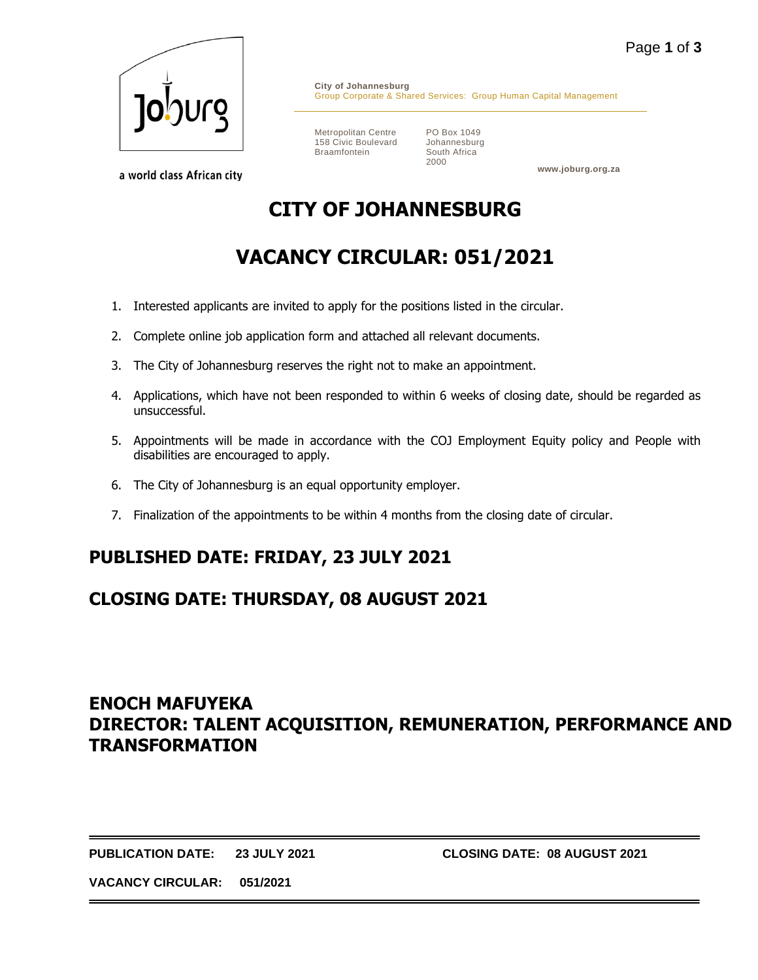

a world class African city

**City of Johannesburg** Group Corporate & Shared Services: Group Human Capital Management

Metropolitan Centre 158 Civic Boulevard Braamfontein

PO Box 1049 Johannesburg South Africa 2000

**www.joburg.org.za**

# **CITY OF JOHANNESBURG**

# **VACANCY CIRCULAR: 051/2021**

- 1. Interested applicants are invited to apply for the positions listed in the circular.
- 2. Complete online job application form and attached all relevant documents.
- 3. The City of Johannesburg reserves the right not to make an appointment.
- 4. Applications, which have not been responded to within 6 weeks of closing date, should be regarded as unsuccessful.
- 5. Appointments will be made in accordance with the COJ Employment Equity policy and People with disabilities are encouraged to apply.
- 6. The City of Johannesburg is an equal opportunity employer.
- 7. Finalization of the appointments to be within 4 months from the closing date of circular.

## **PUBLISHED DATE: FRIDAY, 23 JULY 2021**

## **CLOSING DATE: THURSDAY, 08 AUGUST 2021**

## **ENOCH MAFUYEKA DIRECTOR: TALENT ACQUISITION, REMUNERATION, PERFORMANCE AND TRANSFORMATION**

**PUBLICATION DATE: 23 JULY 2021 CLOSING DATE: 08 AUGUST 2021**

**VACANCY CIRCULAR: 051/2021**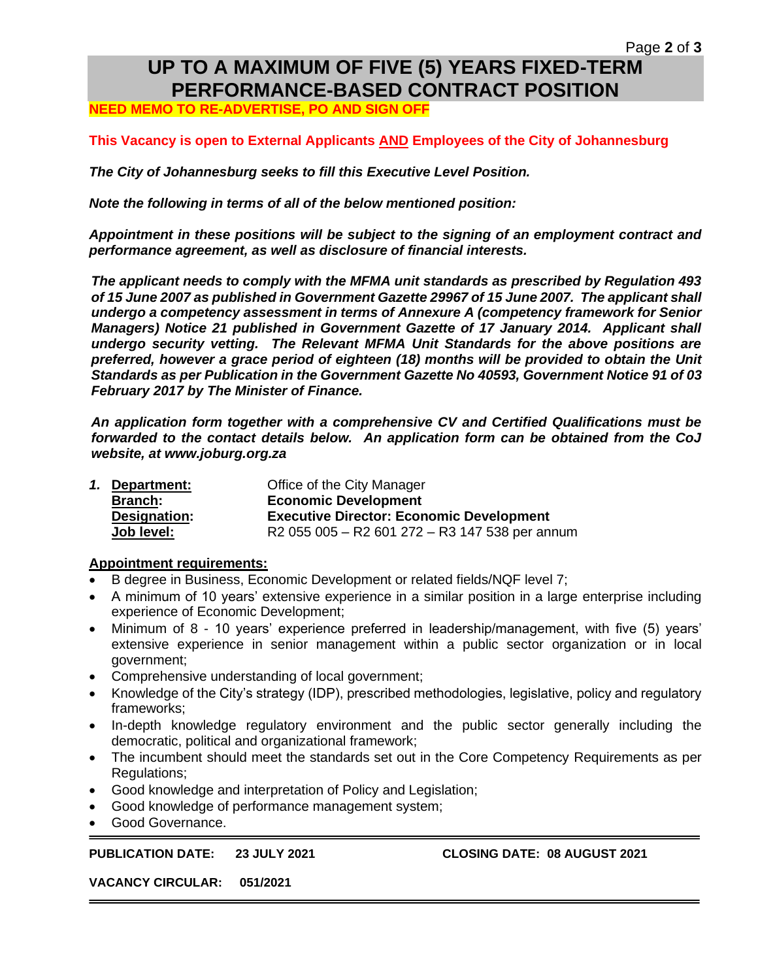## **UP TO A MAXIMUM OF FIVE (5) YEARS FIXED-TERM PERFORMANCE-BASED CONTRACT POSITION**

**NEED MEMO TO RE-ADVERTISE, PO AND SIGN OFF**

### **This Vacancy is open to External Applicants AND Employees of the City of Johannesburg**

*The City of Johannesburg seeks to fill this Executive Level Position.* 

*Note the following in terms of all of the below mentioned position:*

*Appointment in these positions will be subject to the signing of an employment contract and performance agreement, as well as disclosure of financial interests.*

*The applicant needs to comply with the MFMA unit standards as prescribed by Regulation 493 of 15 June 2007 as published in Government Gazette 29967 of 15 June 2007. The applicant shall undergo a competency assessment in terms of Annexure A (competency framework for Senior Managers) Notice 21 published in Government Gazette of 17 January 2014. Applicant shall undergo security vetting. The Relevant MFMA Unit Standards for the above positions are preferred, however a grace period of eighteen (18) months will be provided to obtain the Unit Standards as per Publication in the Government Gazette No 40593, Government Notice 91 of 03 February 2017 by The Minister of Finance.*

*An application form together with a comprehensive CV and Certified Qualifications must be forwarded to the contact details below. An application form can be obtained from the CoJ website, at www.joburg.org.za*

|  | 1. Department: | Office of the City Manager                      |
|--|----------------|-------------------------------------------------|
|  | <b>Branch:</b> | <b>Economic Development</b>                     |
|  | Designation:   | <b>Executive Director: Economic Development</b> |
|  | Job level:     | R2 055 005 - R2 601 272 - R3 147 538 per annum  |

#### **Appointment requirements:**

- B degree in Business, Economic Development or related fields/NQF level 7;
- A minimum of 10 years' extensive experience in a similar position in a large enterprise including experience of Economic Development;
- Minimum of 8 10 years' experience preferred in leadership/management, with five (5) years' extensive experience in senior management within a public sector organization or in local government;
- Comprehensive understanding of local government;
- Knowledge of the City's strategy (IDP), prescribed methodologies, legislative, policy and regulatory frameworks;
- In-depth knowledge regulatory environment and the public sector generally including the democratic, political and organizational framework;
- The incumbent should meet the standards set out in the Core Competency Requirements as per Regulations;
- Good knowledge and interpretation of Policy and Legislation;
- Good knowledge of performance management system;
- Good Governance.

#### **PUBLICATION DATE: 23 JULY 2021 CLOSING DATE: 08 AUGUST 2021**

**VACANCY CIRCULAR: 051/2021**